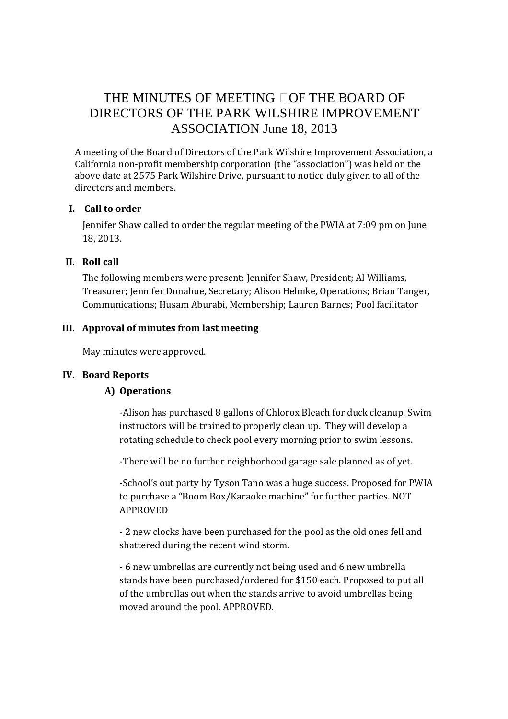# THE MINUTES OF MEETING OF THE BOARD OF DIRECTORS OF THE PARK WILSHIRE IMPROVEMENT ASSOCIATION June 18, 2013

A meeting of the Board of Directors of the Park Wilshire Improvement Association, a California non-profit membership corporation (the "association") was held on the above date at 2575 Park Wilshire Drive, pursuant to notice duly given to all of the directors and members.

# **I. Call to order**

Jennifer Shaw called to order the regular meeting of the PWIA at 7:09 pm on June 18, 2013.

# **II. Roll call**

The following members were present: Jennifer Shaw, President; Al Williams, Treasurer; Jennifer Donahue, Secretary; Alison Helmke, Operations; Brian Tanger, Communications; Husam Aburabi, Membership; Lauren Barnes; Pool facilitator

# **III. Approval of minutes from last meeting**

May minutes were approved.

# **IV. Board Reports**

# **A) Operations**

-Alison has purchased 8 gallons of Chlorox Bleach for duck cleanup. Swim instructors will be trained to properly clean up. They will develop a rotating schedule to check pool every morning prior to swim lessons.

-There will be no further neighborhood garage sale planned as of yet.

-School's out party by Tyson Tano was a huge success. Proposed for PWIA to purchase a "Boom Box/Karaoke machine" for further parties. NOT APPROVED

- 2 new clocks have been purchased for the pool as the old ones fell and shattered during the recent wind storm.

- 6 new umbrellas are currently not being used and 6 new umbrella stands have been purchased/ordered for \$150 each. Proposed to put all of the umbrellas out when the stands arrive to avoid umbrellas being moved around the pool. APPROVED.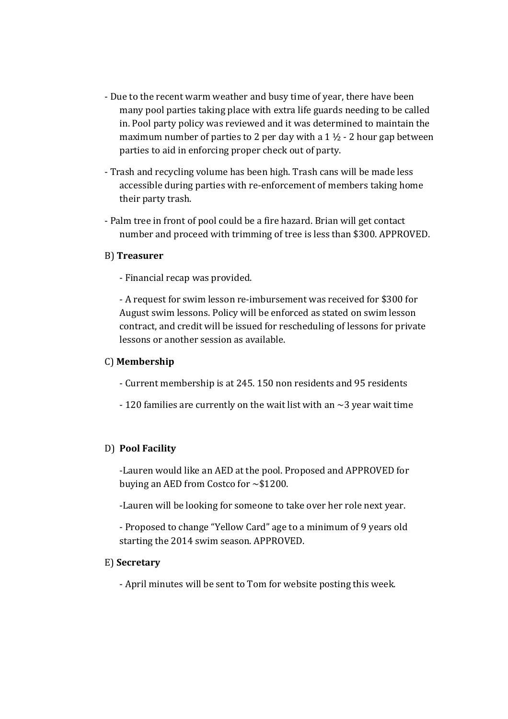- Due to the recent warm weather and busy time of year, there have been many pool parties taking place with extra life guards needing to be called in. Pool party policy was reviewed and it was determined to maintain the maximum number of parties to 2 per day with a  $1 \frac{1}{2}$  - 2 hour gap between parties to aid in enforcing proper check out of party.
- Trash and recycling volume has been high. Trash cans will be made less accessible during parties with re-enforcement of members taking home their party trash.
- Palm tree in front of pool could be a fire hazard. Brian will get contact number and proceed with trimming of tree is less than \$300. APPROVED.

#### B) **Treasurer**

- Financial recap was provided.

 - A request for swim lesson re-imbursement was received for \$300 for August swim lessons. Policy will be enforced as stated on swim lesson contract, and credit will be issued for rescheduling of lessons for private lessons or another session as available.

#### C) **Membership**

- Current membership is at 245. 150 non residents and 95 residents
- $-120$  families are currently on the wait list with an  $\sim$ 3 year wait time

# D) **Pool Facility**

 -Lauren would like an AED at the pool. Proposed and APPROVED for buying an AED from Costco for ~\$1200.

-Lauren will be looking for someone to take over her role next year.

 - Proposed to change "Yellow Card" age to a minimum of 9 years old starting the 2014 swim season. APPROVED.

# E) **Secretary**

- April minutes will be sent to Tom for website posting this week.